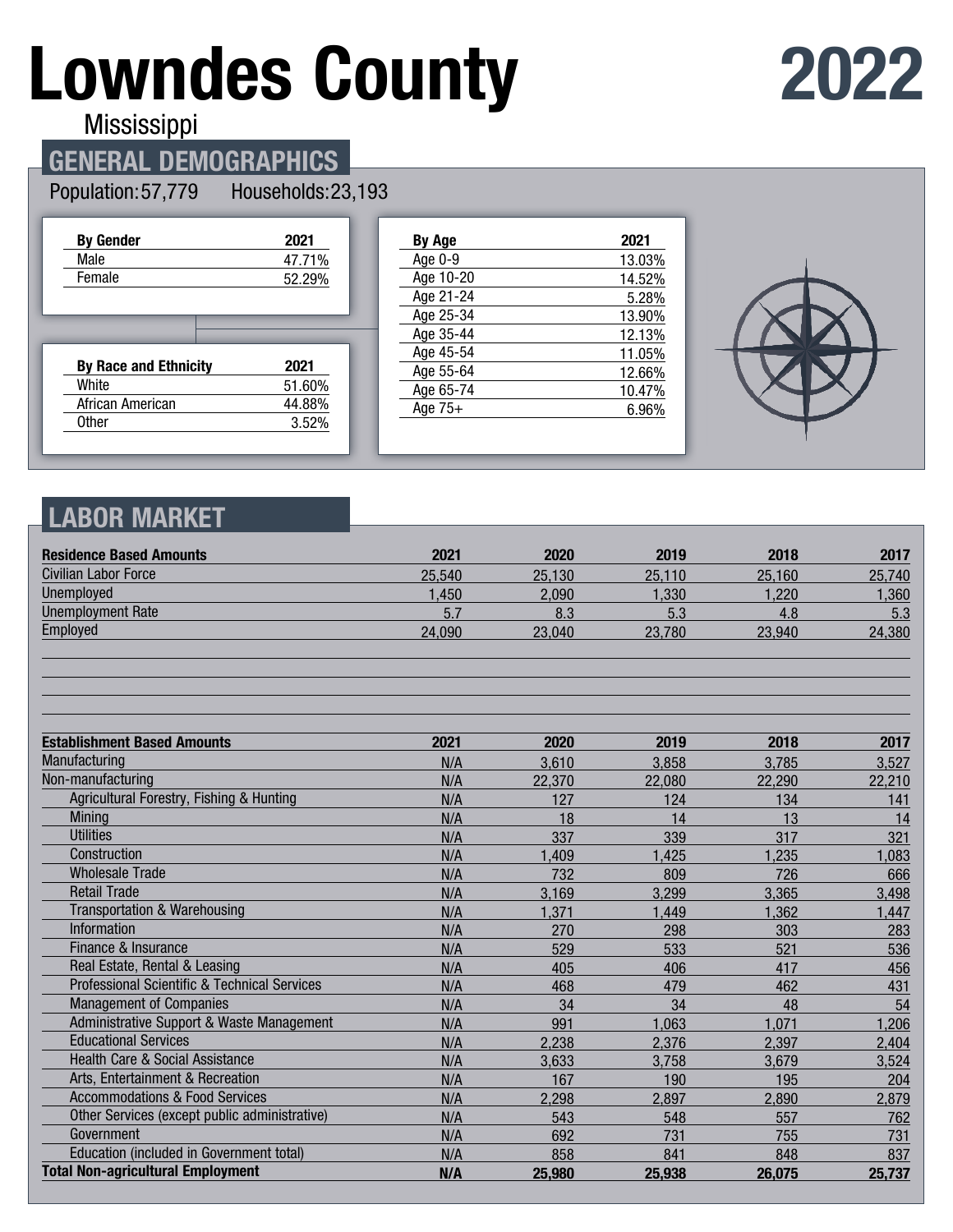# **Lowndes County**

# **2022**

**Mississippi** 

#### **GENERAL DEMOGRAPHICS**

Population: 57,779 Households: 23,193

| <b>By Gender</b>             | 2021   |
|------------------------------|--------|
| Male                         | 47.71% |
| Female                       | 52.29% |
|                              |        |
|                              |        |
|                              |        |
|                              |        |
| <b>By Race and Ethnicity</b> | 2021   |
| White                        | 51.60% |
| African American             | 44.88% |
| Other                        | 3.52%  |

| By Age    | 2021   |
|-----------|--------|
| Age 0-9   | 13.03% |
| Age 10-20 | 14.52% |
| Age 21-24 | 5.28%  |
| Age 25-34 | 13.90% |
| Age 35-44 | 12.13% |
| Age 45-54 | 11.05% |
| Age 55-64 | 12.66% |
| Age 65-74 | 10.47% |
| Age $75+$ | 6.96%  |
|           |        |



#### **LABOR MARKET**

| <b>Residence Based Amounts</b>                          | 2021   | 2020   | 2019   | 2018   | 2017   |
|---------------------------------------------------------|--------|--------|--------|--------|--------|
| Civilian Labor Force                                    | 25,540 | 25,130 | 25,110 | 25,160 | 25,740 |
| <b>Unemployed</b>                                       | 1,450  | 2,090  | 1,330  | 1,220  | 1,360  |
| <b>Unemployment Rate</b>                                | 5.7    | 8.3    | 5.3    | 4.8    | 5.3    |
| Employed                                                | 24,090 | 23,040 | 23,780 | 23,940 | 24,380 |
|                                                         |        |        |        |        |        |
| <b>Establishment Based Amounts</b>                      | 2021   | 2020   | 2019   | 2018   | 2017   |
| Manufacturing                                           | N/A    | 3,610  | 3,858  | 3,785  | 3,527  |
| Non-manufacturing                                       | N/A    | 22,370 | 22,080 | 22,290 | 22,210 |
| Agricultural Forestry, Fishing & Hunting                | N/A    | 127    | 124    | 134    | 141    |
| <b>Mining</b>                                           | N/A    | 18     | 14     | 13     | 14     |
| <b>Utilities</b>                                        | N/A    | 337    | 339    | 317    | 321    |
| Construction                                            | N/A    | 1,409  | 1,425  | 1,235  | 1,083  |
| <b>Wholesale Trade</b>                                  | N/A    | 732    | 809    | 726    | 666    |
| <b>Retail Trade</b>                                     | N/A    | 3,169  | 3,299  | 3,365  | 3,498  |
| Transportation & Warehousing                            | N/A    | 1,371  | 1,449  | 1,362  | 1,447  |
| Information                                             | N/A    | 270    | 298    | 303    | 283    |
| Finance & Insurance                                     | N/A    | 529    | 533    | 521    | 536    |
| Real Estate, Rental & Leasing                           | N/A    | 405    | 406    | 417    | 456    |
| <b>Professional Scientific &amp; Technical Services</b> | N/A    | 468    | 479    | 462    | 431    |
| <b>Management of Companies</b>                          | N/A    | 34     | 34     | 48     | 54     |
| Administrative Support & Waste Management               | N/A    | 991    | 1,063  | 1,071  | 1,206  |
| <b>Educational Services</b>                             | N/A    | 2,238  | 2,376  | 2,397  | 2,404  |
| <b>Health Care &amp; Social Assistance</b>              | N/A    | 3,633  | 3,758  | 3,679  | 3,524  |
| Arts, Entertainment & Recreation                        | N/A    | 167    | 190    | 195    | 204    |
| <b>Accommodations &amp; Food Services</b>               | N/A    | 2,298  | 2,897  | 2,890  | 2,879  |
| Other Services (except public administrative)           | N/A    | 543    | 548    | 557    | 762    |
| Government                                              | N/A    | 692    | 731    | 755    | 731    |
| Education (included in Government total)                | N/A    | 858    | 841    | 848    | 837    |
| <b>Total Non-agricultural Employment</b>                | N/A    | 25,980 | 25,938 | 26,075 | 25,737 |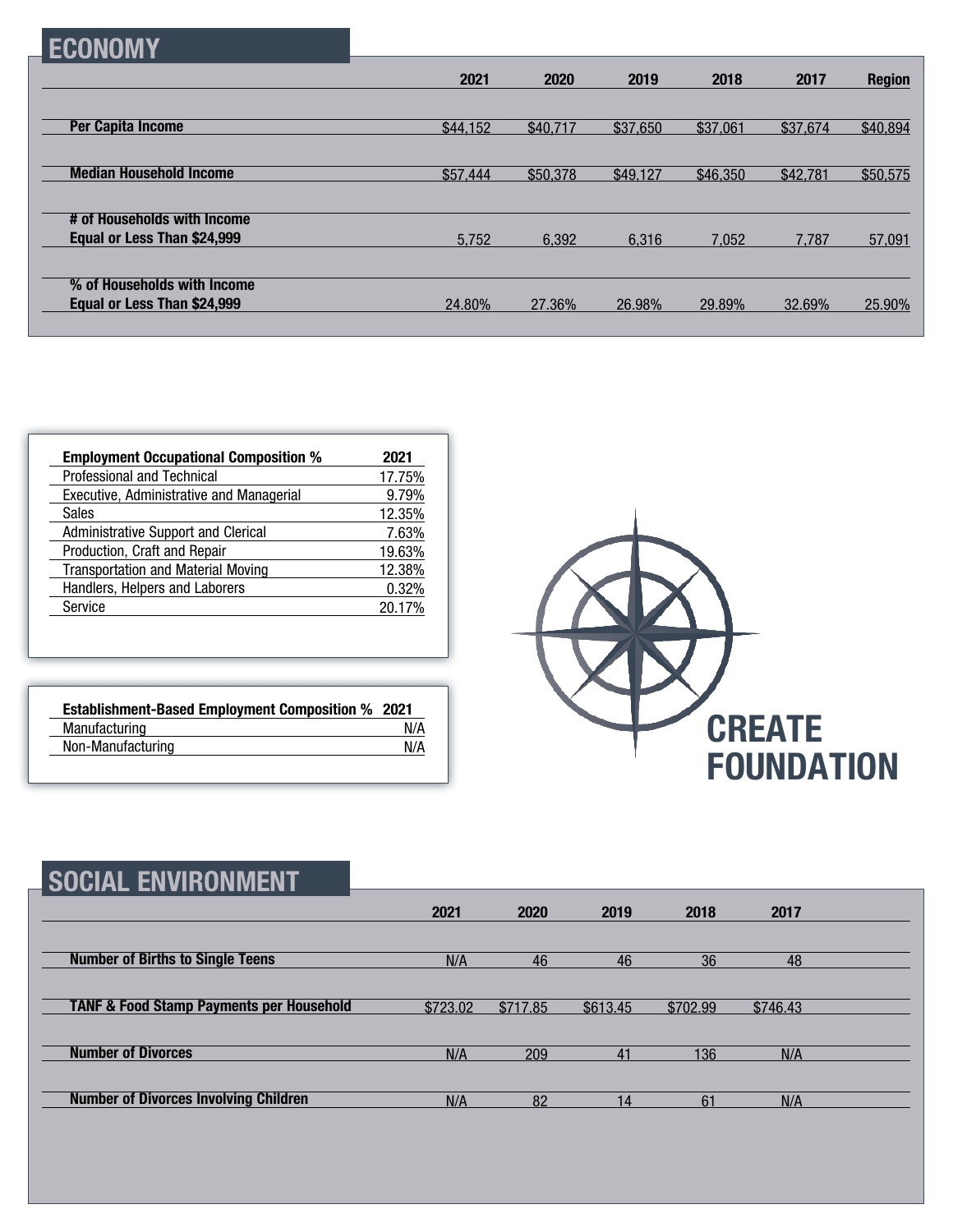|--|

|                                                            | 2021     | 2020     | 2019     | 2018     | 2017     | <b>Region</b> |
|------------------------------------------------------------|----------|----------|----------|----------|----------|---------------|
|                                                            |          |          |          |          |          |               |
| <b>Per Capita Income</b>                                   | \$44,152 | \$40,717 | \$37,650 | \$37,061 | \$37,674 | \$40,894      |
| <b>Median Household Income</b>                             | \$57,444 | \$50,378 | \$49,127 | \$46,350 | \$42,781 | \$50,575      |
|                                                            |          |          |          |          |          |               |
| # of Households with Income                                |          |          |          |          |          |               |
| Equal or Less Than \$24,999                                | 5.752    | 6,392    | 6.316    | 7.052    | 7.787    | 57,091        |
|                                                            |          |          |          |          |          |               |
| % of Households with Income<br>Equal or Less Than \$24,999 | 24.80%   | 27.36%   | 26.98%   | 29.89%   | 32.69%   | 25.90%        |
|                                                            |          |          |          |          |          |               |

| <b>Employment Occupational Composition %</b> | 2021   |
|----------------------------------------------|--------|
| Professional and Technical                   | 17.75% |
| Executive, Administrative and Managerial     | 9.79%  |
| <b>Sales</b>                                 | 12.35% |
| Administrative Support and Clerical          | 7.63%  |
| Production, Craft and Repair                 | 19.63% |
| <b>Transportation and Material Moving</b>    | 12.38% |
| Handlers, Helpers and Laborers               | 0.32%  |
| Service                                      | 20.17% |

| <b>Establishment-Based Employment Composition % 2021</b> |     |
|----------------------------------------------------------|-----|
| Manufacturing                                            | N/A |
| Non-Manufacturing                                        | N/A |



| <b>SOCIAL ENVIRONMENT</b>                           |          |          |          |          |          |  |
|-----------------------------------------------------|----------|----------|----------|----------|----------|--|
|                                                     | 2021     | 2020     | 2019     | 2018     | 2017     |  |
| <b>Number of Births to Single Teens</b>             | N/A      | 46       | 46       | 36       | 48       |  |
| <b>TANF &amp; Food Stamp Payments per Household</b> | \$723.02 | \$717.85 | \$613.45 | \$702.99 | \$746.43 |  |
| <b>Number of Divorces</b>                           | N/A      | 209      | 41       | 136      | N/A      |  |
| <b>Number of Divorces Involving Children</b>        | N/A      | 82       | 14       | 61       | N/A      |  |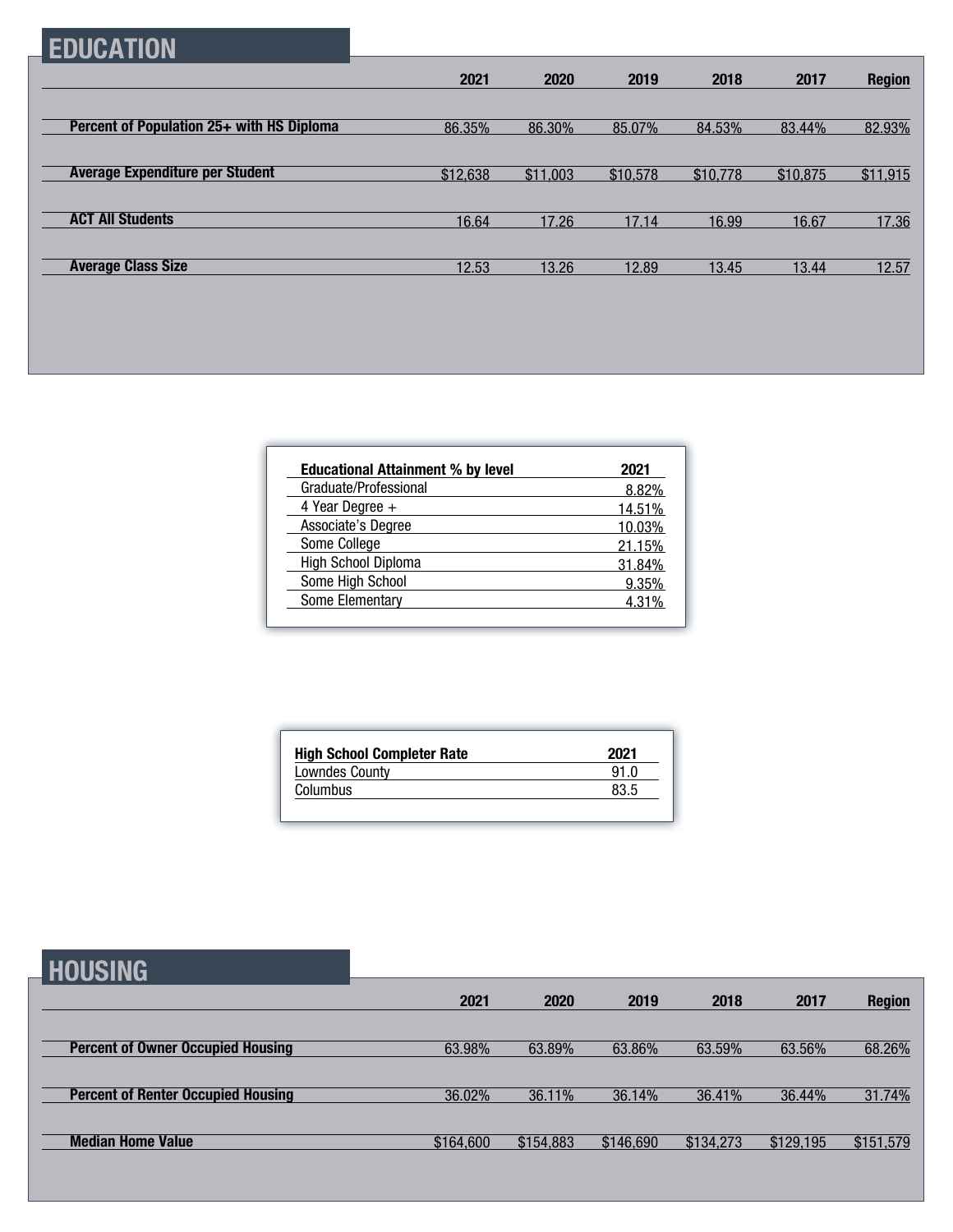## **EDUCATION**

|                                           | 2021     | 2020     | 2019     | 2018     | 2017     | <b>Region</b> |
|-------------------------------------------|----------|----------|----------|----------|----------|---------------|
|                                           |          |          |          |          |          |               |
| Percent of Population 25+ with HS Diploma | 86.35%   | 86.30%   | 85.07%   | 84.53%   | 83.44%   | 82.93%        |
|                                           |          |          |          |          |          |               |
| <b>Average Expenditure per Student</b>    | \$12,638 | \$11,003 | \$10,578 | \$10,778 | \$10,875 | \$11,915      |
|                                           |          |          |          |          |          |               |
| <b>ACT All Students</b>                   | 16.64    | 17.26    | 17.14    | 16.99    | 16.67    | 17.36         |
|                                           |          |          |          |          |          |               |
| <b>Average Class Size</b>                 | 12.53    | 13.26    | 12.89    | 13.45    | 13.44    | 12.57         |

| <b>Educational Attainment % by level</b> | 2021   |
|------------------------------------------|--------|
| Graduate/Professional                    | 8.82%  |
| 4 Year Degree $+$                        | 14.51% |
| Associate's Degree                       | 10.03% |
| Some College                             | 21.15% |
| High School Diploma                      | 31.84% |
| Some High School                         | 9.35%  |
| Some Elementary                          | 4.31%  |

| <b>High School Completer Rate</b> | 2021 |
|-----------------------------------|------|
| <b>Lowndes County</b>             | 91 N |
| Columbus                          | 83.5 |

### **HOUSING**

| ----------                                |           |           |           |           |           |               |
|-------------------------------------------|-----------|-----------|-----------|-----------|-----------|---------------|
|                                           | 2021      | 2020      | 2019      | 2018      | 2017      | <b>Region</b> |
|                                           |           |           |           |           |           |               |
| <b>Percent of Owner Occupied Housing</b>  | 63.98%    | 63.89%    | 63.86%    | 63.59%    | 63.56%    | 68.26%        |
|                                           |           |           |           |           |           |               |
| <b>Percent of Renter Occupied Housing</b> | 36.02%    | 36.11%    | 36.14%    | 36.41%    | 36.44%    | 31.74%        |
|                                           |           |           |           |           |           |               |
| <b>Median Home Value</b>                  | \$164,600 | \$154,883 | \$146,690 | \$134,273 | \$129,195 | \$151,579     |
|                                           |           |           |           |           |           |               |